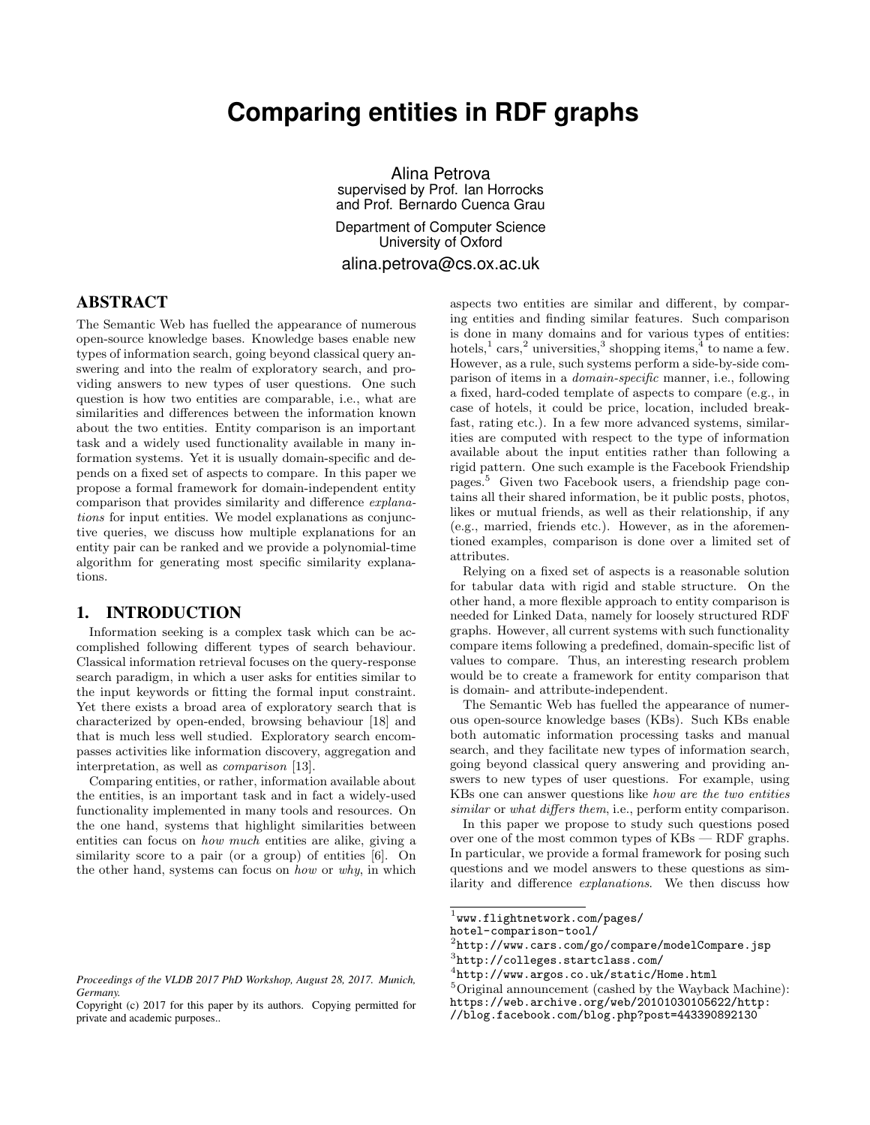# **Comparing entities in RDF graphs**

Alina Petrova supervised by Prof. Ian Horrocks and Prof. Bernardo Cuenca Grau Department of Computer Science University of Oxford alina.petrova@cs.ox.ac.uk

# ABSTRACT

The Semantic Web has fuelled the appearance of numerous open-source knowledge bases. Knowledge bases enable new types of information search, going beyond classical query answering and into the realm of exploratory search, and providing answers to new types of user questions. One such question is how two entities are comparable, i.e., what are similarities and differences between the information known about the two entities. Entity comparison is an important task and a widely used functionality available in many information systems. Yet it is usually domain-specific and depends on a fixed set of aspects to compare. In this paper we propose a formal framework for domain-independent entity comparison that provides similarity and difference explanations for input entities. We model explanations as conjunctive queries, we discuss how multiple explanations for an entity pair can be ranked and we provide a polynomial-time algorithm for generating most specific similarity explanations.

#### 1. INTRODUCTION

Information seeking is a complex task which can be accomplished following different types of search behaviour. Classical information retrieval focuses on the query-response search paradigm, in which a user asks for entities similar to the input keywords or fitting the formal input constraint. Yet there exists a broad area of exploratory search that is characterized by open-ended, browsing behaviour [18] and that is much less well studied. Exploratory search encompasses activities like information discovery, aggregation and interpretation, as well as comparison [13].

Comparing entities, or rather, information available about the entities, is an important task and in fact a widely-used functionality implemented in many tools and resources. On the one hand, systems that highlight similarities between entities can focus on how much entities are alike, giving a similarity score to a pair (or a group) of entities [6]. On the other hand, systems can focus on how or why, in which aspects two entities are similar and different, by comparing entities and finding similar features. Such comparison is done in many domains and for various types of entities: hotels,<sup>1</sup> cars,<sup>2</sup> universities,<sup>3</sup> shopping items,<sup>4</sup> to name a few. However, as a rule, such systems perform a side-by-side comparison of items in a domain-specific manner, i.e., following a fixed, hard-coded template of aspects to compare (e.g., in case of hotels, it could be price, location, included breakfast, rating etc.). In a few more advanced systems, similarities are computed with respect to the type of information available about the input entities rather than following a rigid pattern. One such example is the Facebook Friendship pages.<sup>5</sup> Given two Facebook users, a friendship page contains all their shared information, be it public posts, photos, likes or mutual friends, as well as their relationship, if any (e.g., married, friends etc.). However, as in the aforementioned examples, comparison is done over a limited set of attributes.

Relying on a fixed set of aspects is a reasonable solution for tabular data with rigid and stable structure. On the other hand, a more flexible approach to entity comparison is needed for Linked Data, namely for loosely structured RDF graphs. However, all current systems with such functionality compare items following a predefined, domain-specific list of values to compare. Thus, an interesting research problem would be to create a framework for entity comparison that is domain- and attribute-independent.

The Semantic Web has fuelled the appearance of numerous open-source knowledge bases (KBs). Such KBs enable both automatic information processing tasks and manual search, and they facilitate new types of information search, going beyond classical query answering and providing answers to new types of user questions. For example, using KBs one can answer questions like how are the two entities similar or what differs them, i.e., perform entity comparison.

In this paper we propose to study such questions posed over one of the most common types of KBs — RDF graphs. In particular, we provide a formal framework for posing such questions and we model answers to these questions as similarity and difference explanations. We then discuss how

*Proceedings of the VLDB 2017 PhD Workshop, August 28, 2017. Munich, Germany.*

Copyright (c) 2017 for this paper by its authors. Copying permitted for private and academic purposes..

 $^{1}$ www.flightnetwork.com/pages/

hotel-comparison-tool/

<sup>2</sup> http://www.cars.com/go/compare/modelCompare.jsp 3 http://colleges.startclass.com/

<sup>4</sup> http://www.argos.co.uk/static/Home.html

<sup>5</sup>Original announcement (cashed by the Wayback Machine):

https://web.archive.org/web/20101030105622/http:

<sup>//</sup>blog.facebook.com/blog.php?post=443390892130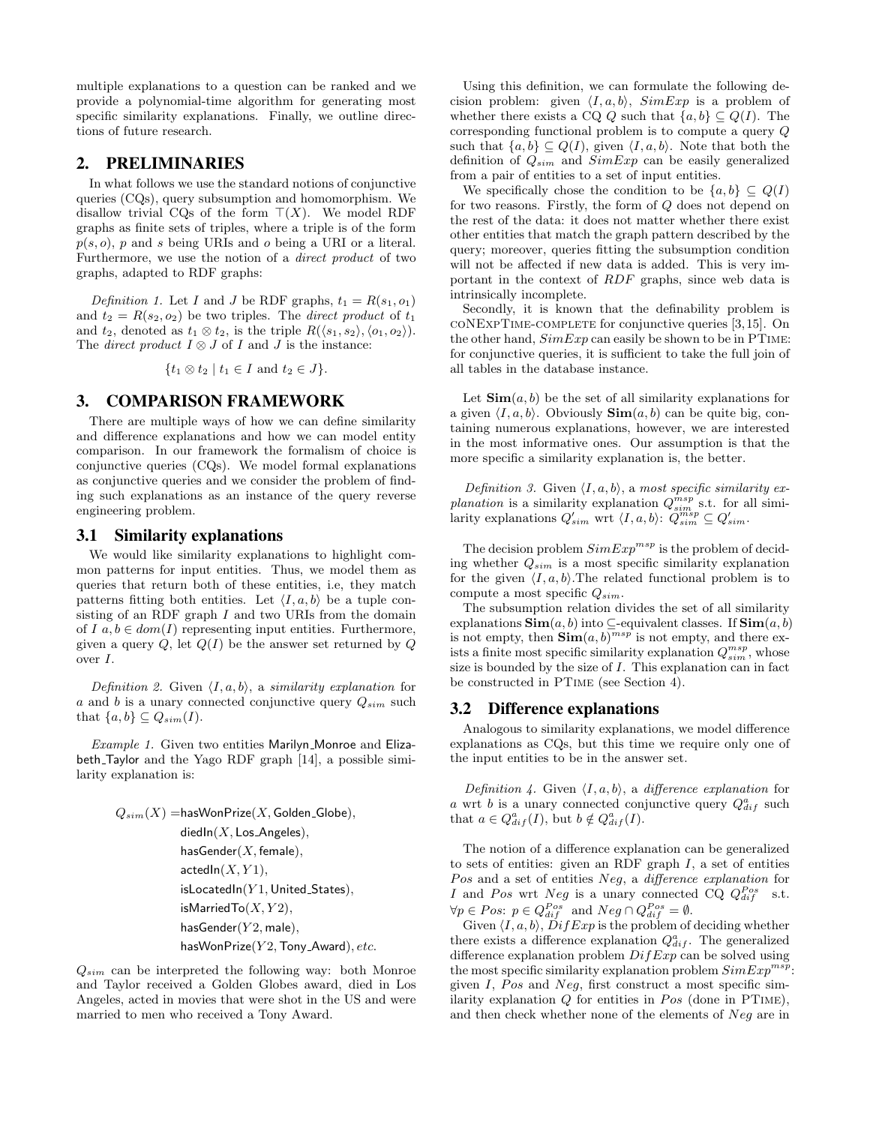multiple explanations to a question can be ranked and we provide a polynomial-time algorithm for generating most specific similarity explanations. Finally, we outline directions of future research.

# 2. PRELIMINARIES

In what follows we use the standard notions of conjunctive queries (CQs), query subsumption and homomorphism. We disallow trivial CQs of the form  $T(X)$ . We model RDF graphs as finite sets of triples, where a triple is of the form  $p(s, o)$ , p and s being URIs and o being a URI or a literal. Furthermore, we use the notion of a direct product of two graphs, adapted to RDF graphs:

Definition 1. Let I and J be RDF graphs,  $t_1 = R(s_1, o_1)$ and  $t_2 = R(s_2, o_2)$  be two triples. The *direct product* of  $t_1$ and  $t_2$ , denoted as  $t_1 \otimes t_2$ , is the triple  $R(\langle s_1, s_2 \rangle, \langle o_1, o_2 \rangle)$ . The *direct product*  $I \otimes J$  of  $I$  and  $J$  is the instance:

$$
\{t_1 \otimes t_2 \mid t_1 \in I \text{ and } t_2 \in J\}.
$$

#### 3. COMPARISON FRAMEWORK

There are multiple ways of how we can define similarity and difference explanations and how we can model entity comparison. In our framework the formalism of choice is conjunctive queries (CQs). We model formal explanations as conjunctive queries and we consider the problem of finding such explanations as an instance of the query reverse engineering problem.

#### 3.1 Similarity explanations

We would like similarity explanations to highlight common patterns for input entities. Thus, we model them as queries that return both of these entities, i.e, they match patterns fitting both entities. Let  $\langle I, a, b \rangle$  be a tuple consisting of an RDF graph  $I$  and two URIs from the domain of I  $a, b \in dom(I)$  representing input entities. Furthermore, given a query  $Q$ , let  $Q(I)$  be the answer set returned by  $Q$ over I.

Definition 2. Given  $\langle I, a, b \rangle$ , a similarity explanation for a and b is a unary connected conjunctive query  $Q_{sim}$  such that  $\{a, b\} \subseteq Q_{sim}(I)$ .

 $Example 1.$  Given two entities Marilyn Monroe and Elizabeth Taylor and the Yago RDF graph [14], a possible similarity explanation is:

$$
\begin{aligned} Q_{sim}(X) = & \text{hasWonPrice}(X, \text{Golden-Globe}), \\ & \text{diedln}(X, \text{Los}\_\text{Angles}), \\ & \text{hasSender}(X, \text{female}), \\ & \text{actedln}(X, Y1), \\ & \text{isLocatedln}(Y1, \text{United-States}), \\ & \text{isMarriedTo}(X, Y2), \\ & \text{hasGender}(Y2, \text{male}), \\ & \text{hasWonPrice}(Y2, \text{ Tony}\_\text{Word}), \text{etc.} \end{aligned}
$$

 $Q_{sim}$  can be interpreted the following way: both Monroe and Taylor received a Golden Globes award, died in Los Angeles, acted in movies that were shot in the US and were married to men who received a Tony Award.

Using this definition, we can formulate the following decision problem: given  $\langle I, a, b \rangle$ ,  $SimExp$  is a problem of whether there exists a CQ Q such that  $\{a, b\} \subseteq Q(I)$ . The corresponding functional problem is to compute a query Q such that  $\{a, b\} \subseteq Q(I)$ , given  $\langle I, a, b \rangle$ . Note that both the definition of  $Q_{sim}$  and  $SimExp$  can be easily generalized from a pair of entities to a set of input entities.

We specifically chose the condition to be  $\{a, b\} \subseteq Q(I)$ for two reasons. Firstly, the form of Q does not depend on the rest of the data: it does not matter whether there exist other entities that match the graph pattern described by the query; moreover, queries fitting the subsumption condition will not be affected if new data is added. This is very important in the context of RDF graphs, since web data is intrinsically incomplete.

Secondly, it is known that the definability problem is coNExpTime-complete for conjunctive queries [3,15]. On the other hand,  $SimExp$  can easily be shown to be in PTIME: for conjunctive queries, it is sufficient to take the full join of all tables in the database instance.

Let  $\text{Sim}(a, b)$  be the set of all similarity explanations for a given  $\langle I, a, b \rangle$ . Obviously  $\text{Sim}(a, b)$  can be quite big, containing numerous explanations, however, we are interested in the most informative ones. Our assumption is that the more specific a similarity explanation is, the better.

Definition 3. Given  $\langle I, a, b \rangle$ , a most specific similarity explanation is a similarity explanation  $Q_{sim}^{msp}$  s.t. for all similarity explanations  $Q'_{sim}$  wrt  $\langle I, a, b \rangle: Q_{sim}^{msp} \subseteq Q'_{sim}$ .

The decision problem  $SimExp^{msp}$  is the problem of deciding whether  $Q_{sim}$  is a most specific similarity explanation for the given  $\langle I, a, b \rangle$ . The related functional problem is to compute a most specific  $Q_{sim}$ .

The subsumption relation divides the set of all similarity explanations  $\text{Sim}(a, b)$  into  $\subseteq$ -equivalent classes. If  $\text{Sim}(a, b)$ is not empty, then  $\text{Sim}(a, b)^{msp}$  is not empty, and there exists a finite most specific similarity explanation  $Q_{sim}^{msp}$ , whose size is bounded by the size of  $I$ . This explanation can in fact be constructed in PTime (see Section 4).

# 3.2 Difference explanations

Analogous to similarity explanations, we model difference explanations as CQs, but this time we require only one of the input entities to be in the answer set.

Definition 4. Given  $\langle I, a, b \rangle$ , a difference explanation for a wrt b is a unary connected conjunctive query  $Q_{dif}^a$  such that  $a \in Q_{dif}^a(I)$ , but  $b \notin Q_{dif}^a(I)$ .

The notion of a difference explanation can be generalized to sets of entities: given an RDF graph  $I$ , a set of entities Pos and a set of entities Neg, a difference explanation for I and Pos wrt Neg is a unary connected CQ  $Q_{dif}^{Pos}$  s.t.  $\forall p \in Pos: p \in Q_{dif}^{Pos} \text{ and } Neg \cap Q_{dif}^{Pos} = \emptyset.$ 

Given  $\langle I, a, b \rangle$ ,  $\overrightarrow{DiffExp}$  is the problem of deciding whether there exists a difference explanation  $Q_{dif}^a$ . The generalized difference explanation problem  $DiffExp$  can be solved using the most specific similarity explanation problem  $SimExp^{msp}$ : given  $I$ , Pos and Neg, first construct a most specific similarity explanation  $Q$  for entities in  $Pos$  (done in PTIME), and then check whether none of the elements of Neg are in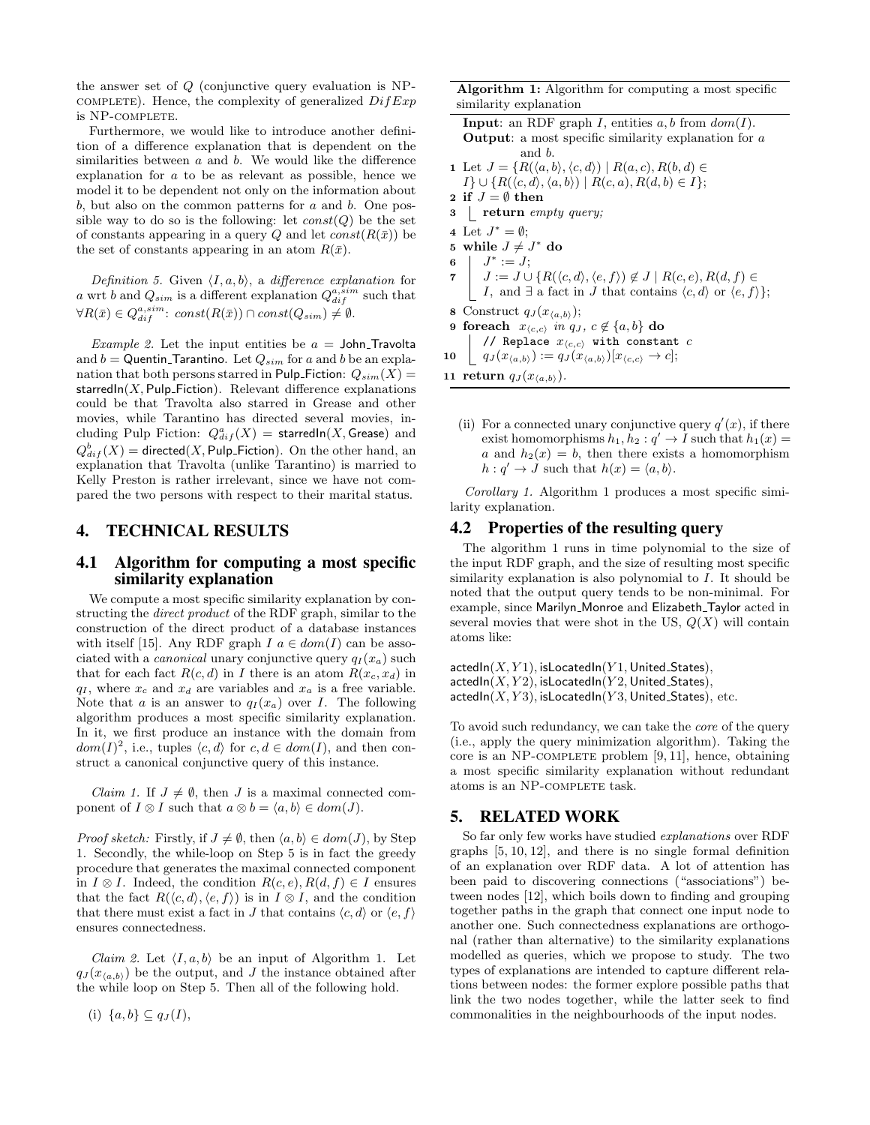the answer set of Q (conjunctive query evaluation is NP- $COMPLETE$ ). Hence, the complexity of generalized  $DiffExp$ is NP-complete.

Furthermore, we would like to introduce another definition of a difference explanation that is dependent on the similarities between  $a$  and  $b$ . We would like the difference explanation for a to be as relevant as possible, hence we model it to be dependent not only on the information about  $b$ , but also on the common patterns for  $a$  and  $b$ . One possible way to do so is the following: let  $const(Q)$  be the set of constants appearing in a query Q and let  $const(R(\bar{x}))$  be the set of constants appearing in an atom  $R(\bar{x})$ .

Definition 5. Given  $\langle I, a, b \rangle$ , a difference explanation for a wrt b and  $Q_{sim}$  is a different explanation  $Q_{dif}^{a,sim}$  such that  $\forall R(\bar{x}) \in Q_{dif}^{a,sim} \colon const(R(\bar{x})) \cap const(Q_{sim}) \neq \emptyset.$ 

*Example 2.* Let the input entities be  $a =$  John\_Travolta and  $b =$  Quentin Tarantino. Let  $Q_{sim}$  for a and b be an explanation that both persons starred in Pulp Fiction:  $Q_{sim}(X)$  = starredIn( $X$ , Pulp<sub>-Fiction</sub>). Relevant difference explanations could be that Travolta also starred in Grease and other movies, while Tarantino has directed several movies, including Pulp Fiction:  $Q_{dif}^a(X)$  = starredIn(X, Grease) and  $Q_{dif}^{b}(X) =$  directed(X, Pulp\_Fiction). On the other hand, an explanation that Travolta (unlike Tarantino) is married to Kelly Preston is rather irrelevant, since we have not compared the two persons with respect to their marital status.

# 4. TECHNICAL RESULTS

# 4.1 Algorithm for computing a most specific similarity explanation

We compute a most specific similarity explanation by constructing the direct product of the RDF graph, similar to the construction of the direct product of a database instances with itself [15]. Any RDF graph  $I \ a \in dom(I)$  can be associated with a *canonical* unary conjunctive query  $q_I(x_a)$  such that for each fact  $R(c, d)$  in I there is an atom  $R(x_c, x_d)$  in  $q_I$ , where  $x_c$  and  $x_d$  are variables and  $x_a$  is a free variable. Note that a is an answer to  $q_I(x_a)$  over I. The following algorithm produces a most specific similarity explanation. In it, we first produce an instance with the domain from  $dom(I)^2$ , i.e., tuples  $\langle c, d \rangle$  for  $c, d \in dom(I)$ , and then construct a canonical conjunctive query of this instance.

*Claim 1.* If  $J \neq \emptyset$ , then J is a maximal connected component of  $I \otimes I$  such that  $a \otimes b = \langle a, b \rangle \in dom(J)$ .

*Proof sketch:* Firstly, if  $J \neq \emptyset$ , then  $\langle a, b \rangle \in dom(J)$ , by Step 1. Secondly, the while-loop on Step 5 is in fact the greedy procedure that generates the maximal connected component in  $I \otimes I$ . Indeed, the condition  $R(c, e), R(d, f) \in I$  ensures that the fact  $R(\langle c, d \rangle, \langle e, f \rangle)$  is in  $I \otimes I$ , and the condition that there must exist a fact in J that contains  $\langle c, d \rangle$  or  $\langle e, f \rangle$ ensures connectedness.

*Claim 2.* Let  $\langle I, a, b \rangle$  be an input of Algorithm 1. Let  $q_J(x_{\langle a,b\rangle})$  be the output, and J the instance obtained after the while loop on Step 5. Then all of the following hold.

Algorithm 1: Algorithm for computing a most specific similarity explanation

**Input:** an RDF graph I, entities  $a, b$  from  $dom(I)$ . Output: a most specific similarity explanation for a and b. 1 Let  $J = \{R(\langle a, b \rangle, \langle c, d \rangle) \mid R(a, c), R(b, d) \in$  $I\} \cup \{R(\langle c, d \rangle, \langle a, b \rangle) \mid R(c, a), R(d, b) \in I\};$ 2 if  $J = \emptyset$  then 3 return empty query; 4 Let  $J^* = \emptyset$ ; 5 while  $J \neq J^*$  do 6  $J^* := J;$  $7 \mid J := J \cup \{R(\langle c, d \rangle, \langle e, f \rangle) \notin J \mid R(c, e), R(d, f) \in$ I, and  $\exists$  a fact in J that contains  $\langle c, d \rangle$  or  $\langle e, f \rangle$ ; 8 Construct  $q_J(x_{\langle a,b \rangle});$ 9 foreach  $x_{\langle c,c \rangle}$  in  $q_J, c \notin \{a, b\}$  do // Replace  $x_{\langle c,c \rangle}$  with constant  $c$ 

10  $q_J (x_{\langle a,b \rangle}) := q_J (x_{\langle a,b \rangle})[x_{\langle c,c \rangle} \to c];$ 

11 return  $q_J(x_{\langle a,b \rangle}).$ 

(ii) For a connected unary conjunctive query  $q'(x)$ , if there exist homomorphisms  $h_1, h_2 : q' \to I$  such that  $h_1(x) =$ a and  $h_2(x) = b$ , then there exists a homomorphism  $h: q' \to J$  such that  $h(x) = \langle a, b \rangle$ .

Corollary 1. Algorithm 1 produces a most specific similarity explanation.

# 4.2 Properties of the resulting query

The algorithm 1 runs in time polynomial to the size of the input RDF graph, and the size of resulting most specific similarity explanation is also polynomial to I. It should be noted that the output query tends to be non-minimal. For example, since Marilyn\_Monroe and Elizabeth\_Taylor acted in several movies that were shot in the US,  $Q(X)$  will contain atoms like:

 $\operatorname{actedIn}(X, Y1)$ , isLocatedIn $(Y1,$  United States),  $\textsf{actedIn}(X, Y2)$ , isLocatedIn(Y2, United States),  $\textsf{actedIn}(X, Y3)$ , isLocatedIn(Y3, United States), etc.

To avoid such redundancy, we can take the core of the query (i.e., apply the query minimization algorithm). Taking the core is an NP-COMPLETE problem  $[9, 11]$ , hence, obtaining a most specific similarity explanation without redundant atoms is an NP-complete task.

# 5. RELATED WORK

So far only few works have studied explanations over RDF graphs [5, 10, 12], and there is no single formal definition of an explanation over RDF data. A lot of attention has been paid to discovering connections ("associations") between nodes [12], which boils down to finding and grouping together paths in the graph that connect one input node to another one. Such connectedness explanations are orthogonal (rather than alternative) to the similarity explanations modelled as queries, which we propose to study. The two types of explanations are intended to capture different relations between nodes: the former explore possible paths that link the two nodes together, while the latter seek to find commonalities in the neighbourhoods of the input nodes.

(i)  $\{a, b\} \subseteq q_J(I)$ ,